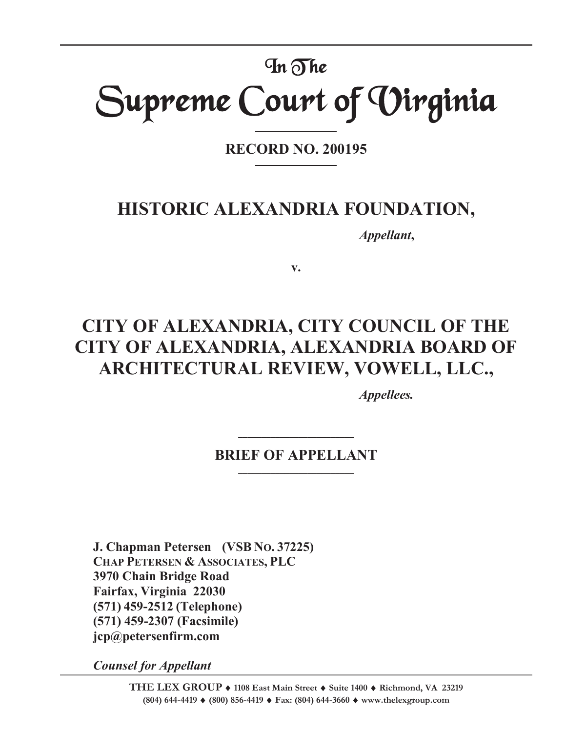# In The Supreme Court of Virginia

**RECORD NO. 200195** 

**\_\_\_\_\_\_\_\_\_\_\_\_\_\_\_\_\_\_\_\_\_\_** 

# **HISTORIC ALEXANDRIA FOUNDATION,**

*Appellant***,** 

**v.** 

# **CITY OF ALEXANDRIA, CITY COUNCIL OF THE CITY OF ALEXANDRIA, ALEXANDRIA BOARD OF ARCHITECTURAL REVIEW, VOWELL, LLC.,**

*Appellees.* 

# **BRIEF OF APPELLANT**

**\_\_\_\_\_\_\_\_\_\_\_\_\_\_\_\_\_\_\_\_\_\_\_\_\_** 

**J. Chapman Petersen (VSB NO. 37225) CHAP PETERSEN & ASSOCIATES, PLC 3970 Chain Bridge Road Fairfax, Virginia 22030 (571) 459-2512 (Telephone) (571) 459-2307 (Facsimile) jcp@petersenfirm.com** 

*Counsel for Appellant*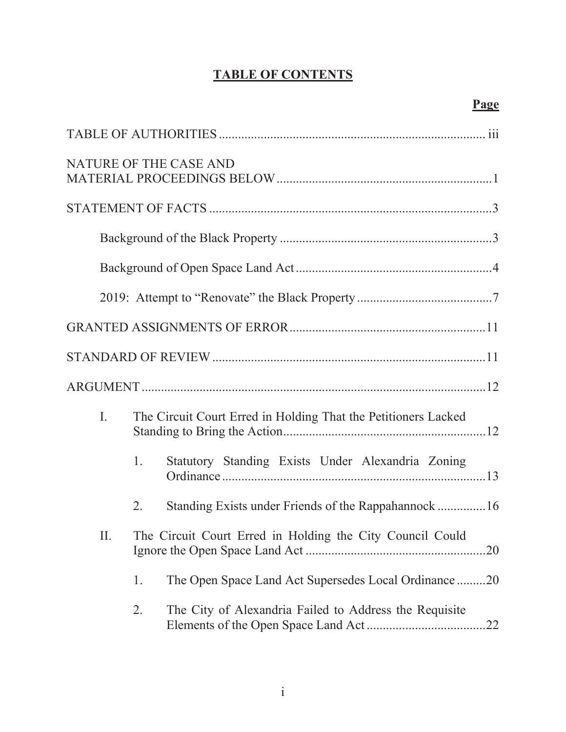# **TABLE OF CONTENTS**

|                |    | NATURE OF THE CASE AND                                         |
|----------------|----|----------------------------------------------------------------|
|                |    |                                                                |
|                |    |                                                                |
|                |    |                                                                |
|                |    |                                                                |
|                |    |                                                                |
|                |    |                                                                |
|                |    |                                                                |
| $\mathbf{I}$ . |    | The Circuit Court Erred in Holding That the Petitioners Lacked |
|                | 1. | Statutory Standing Exists Under Alexandria Zoning              |
|                | 2. | Standing Exists under Friends of the Rappahannock 16           |
| П.             |    | The Circuit Court Erred in Holding the City Council Could      |
|                | 1. | The Open Space Land Act Supersedes Local Ordinance20           |
|                | 2. | The City of Alexandria Failed to Address the Requisite         |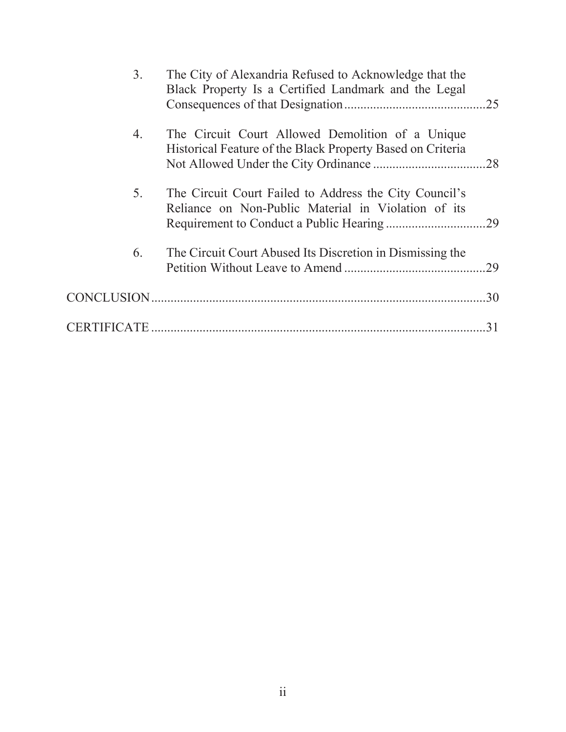| 3. | The City of Alexandria Refused to Acknowledge that the<br>Black Property Is a Certified Landmark and the Legal | .25 |
|----|----------------------------------------------------------------------------------------------------------------|-----|
| 4. | The Circuit Court Allowed Demolition of a Unique<br>Historical Feature of the Black Property Based on Criteria |     |
| 5. | The Circuit Court Failed to Address the City Council's<br>Reliance on Non-Public Material in Violation of its  |     |
| 6. | The Circuit Court Abused Its Discretion in Dismissing the                                                      | 29  |
|    |                                                                                                                | .30 |
|    |                                                                                                                | 31  |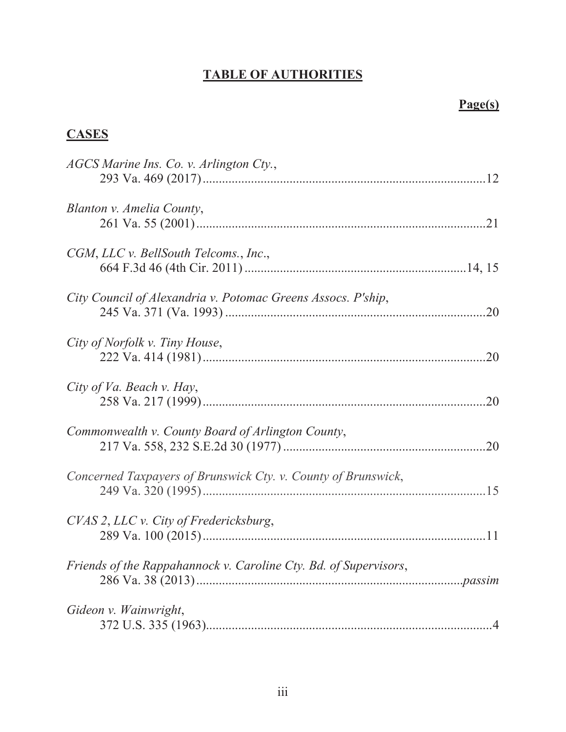# **TABLE OF AUTHORITIES**

# **Page(s)**

# **CASES**

| AGCS Marine Ins. Co. v. Arlington Cty.,                          |  |
|------------------------------------------------------------------|--|
| Blanton v. Amelia County,                                        |  |
| CGM, LLC v. BellSouth Telcoms., Inc.,                            |  |
| City Council of Alexandria v. Potomac Greens Assocs. P'ship,     |  |
| City of Norfolk v. Tiny House,                                   |  |
| City of Va. Beach v. Hay,                                        |  |
| Commonwealth v. County Board of Arlington County,                |  |
| Concerned Taxpayers of Brunswick Cty. v. County of Brunswick,    |  |
| CVAS 2, LLC v. City of Fredericksburg,                           |  |
| Friends of the Rappahannock v. Caroline Cty. Bd. of Supervisors, |  |
| Gideon v. Wainwright,                                            |  |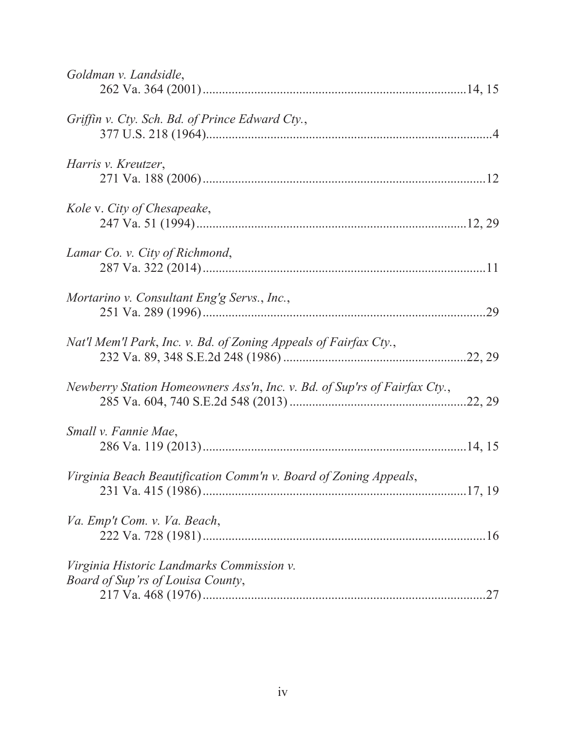| Goldman v. Landsidle,                                                     |     |
|---------------------------------------------------------------------------|-----|
|                                                                           |     |
| Griffin v. Cty. Sch. Bd. of Prince Edward Cty.,                           |     |
|                                                                           |     |
| Harris v. Kreutzer,                                                       |     |
|                                                                           |     |
| Kole v. City of Chesapeake,                                               |     |
|                                                                           |     |
|                                                                           |     |
| Lamar Co. v. City of Richmond,                                            |     |
|                                                                           |     |
| Mortarino v. Consultant Eng'g Servs., Inc.,                               |     |
|                                                                           |     |
| Nat'l Mem'l Park, Inc. v. Bd. of Zoning Appeals of Fairfax Cty.,          |     |
|                                                                           |     |
| Newberry Station Homeowners Ass'n, Inc. v. Bd. of Sup'rs of Fairfax Cty., |     |
|                                                                           |     |
| Small v. Fannie Mae,                                                      |     |
|                                                                           |     |
| Virginia Beach Beautification Comm'n v. Board of Zoning Appeals,          |     |
|                                                                           |     |
| Va. Emp't Com. v. Va. Beach,                                              |     |
|                                                                           |     |
| Virginia Historic Landmarks Commission v.                                 |     |
| Board of Sup'rs of Louisa County,                                         | .27 |
|                                                                           |     |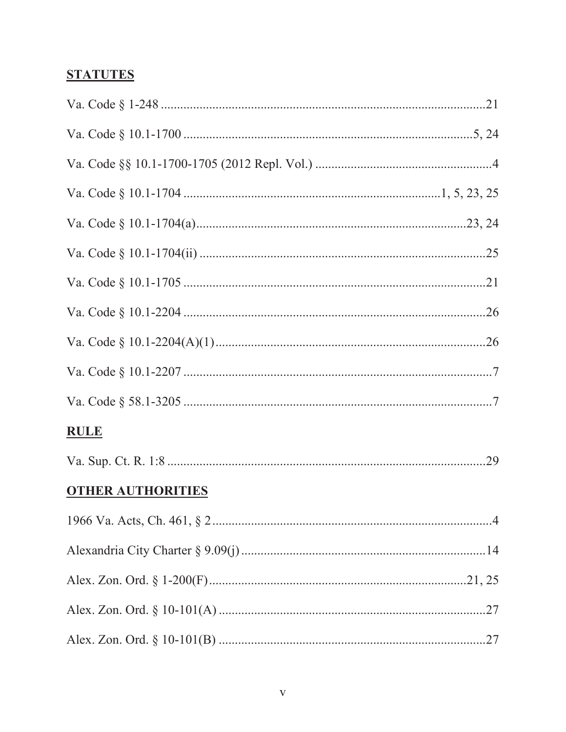# **STATUTES**

| <b>RULE</b>              |  |
|--------------------------|--|
|                          |  |
| <b>OTHER AUTHORITIES</b> |  |
|                          |  |
|                          |  |
|                          |  |
|                          |  |
|                          |  |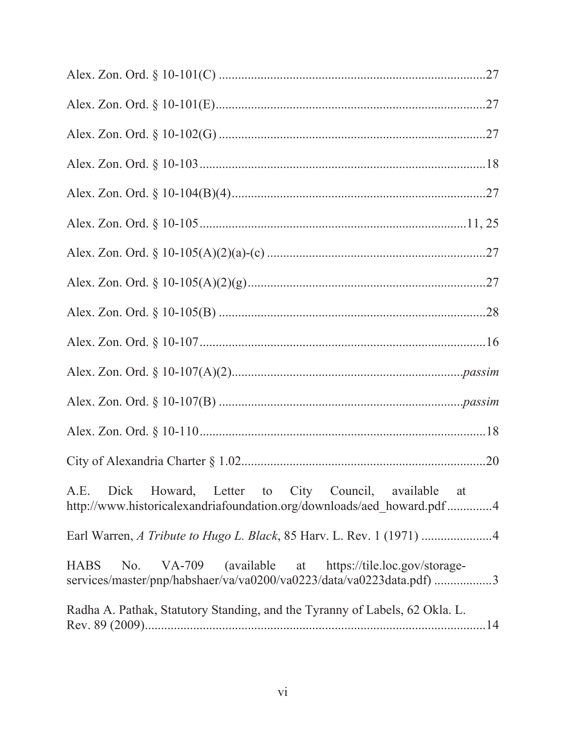| A.E. Dick Howard, Letter to City Council, available at<br>http://www.historicalexandriafoundation.org/downloads/aed howard.pdf4                  |
|--------------------------------------------------------------------------------------------------------------------------------------------------|
|                                                                                                                                                  |
| VA-709 (available at https://tile.loc.gov/storage-<br><b>HABS</b><br>No.<br>services/master/pnp/habshaer/va/va0200/va0223/data/va0223data.pdf) 3 |
| Radha A. Pathak, Statutory Standing, and the Tyranny of Labels, 62 Okla. L.                                                                      |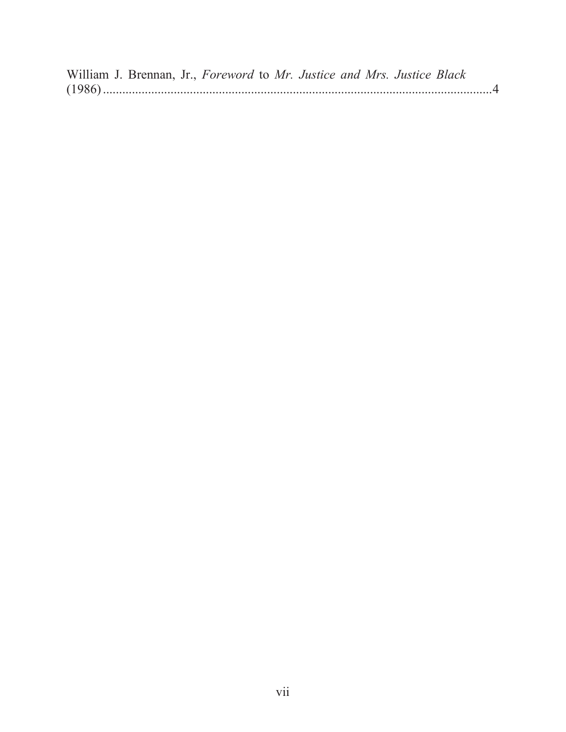William J. Brennan, Jr., *Foreword* to *Mr. Justice and Mrs. Justice Black*  (1986) ......................................................................................................................... 4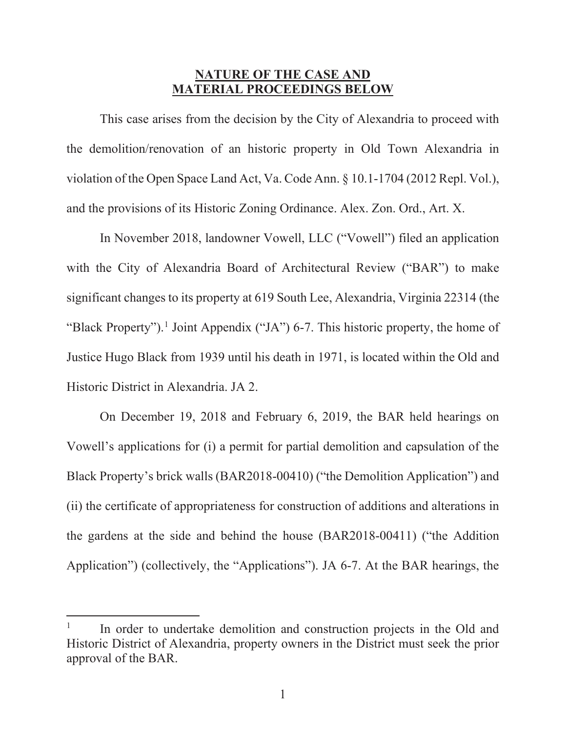## **NATURE OF THE CASE AND MATERIAL PROCEEDINGS BELOW**

This case arises from the decision by the City of Alexandria to proceed with the demolition/renovation of an historic property in Old Town Alexandria in violation of the Open Space Land Act, Va. Code Ann. § 10.1-1704 (2012 Repl. Vol.), and the provisions of its Historic Zoning Ordinance. Alex. Zon. Ord., Art. X.

In November 2018, landowner Vowell, LLC ("Vowell") filed an application with the City of Alexandria Board of Architectural Review ("BAR") to make significant changes to its property at 619 South Lee, Alexandria, Virginia 22314 (the "Black Property").<sup>1</sup> Joint Appendix ("JA") 6-7. This historic property, the home of Justice Hugo Black from 1939 until his death in 1971, is located within the Old and Historic District in Alexandria. JA 2.

On December 19, 2018 and February 6, 2019, the BAR held hearings on Vowell's applications for (i) a permit for partial demolition and capsulation of the Black Property's brick walls (BAR2018-00410) ("the Demolition Application") and (ii) the certificate of appropriateness for construction of additions and alterations in the gardens at the side and behind the house (BAR2018-00411) ("the Addition Application") (collectively, the "Applications"). JA 6-7. At the BAR hearings, the

<sup>1</sup> In order to undertake demolition and construction projects in the Old and Historic District of Alexandria, property owners in the District must seek the prior approval of the BAR.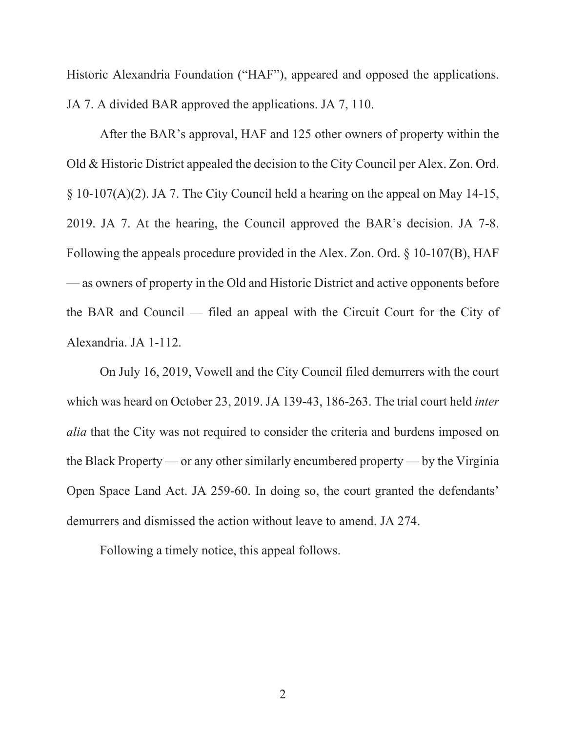Historic Alexandria Foundation ("HAF"), appeared and opposed the applications. JA 7. A divided BAR approved the applications. JA 7, 110.

After the BAR's approval, HAF and 125 other owners of property within the Old & Historic District appealed the decision to the City Council per Alex. Zon. Ord. § 10-107(A)(2). JA 7. The City Council held a hearing on the appeal on May 14-15, 2019. JA 7. At the hearing, the Council approved the BAR's decision. JA 7-8. Following the appeals procedure provided in the Alex. Zon. Ord. § 10-107(B), HAF — as owners of property in the Old and Historic District and active opponents before the BAR and Council — filed an appeal with the Circuit Court for the City of Alexandria. JA 1-112.

On July 16, 2019, Vowell and the City Council filed demurrers with the court which was heard on October 23, 2019. JA 139-43, 186-263. The trial court held *inter alia* that the City was not required to consider the criteria and burdens imposed on the Black Property — or any other similarly encumbered property — by the Virginia Open Space Land Act. JA 259-60. In doing so, the court granted the defendants' demurrers and dismissed the action without leave to amend. JA 274.

Following a timely notice, this appeal follows.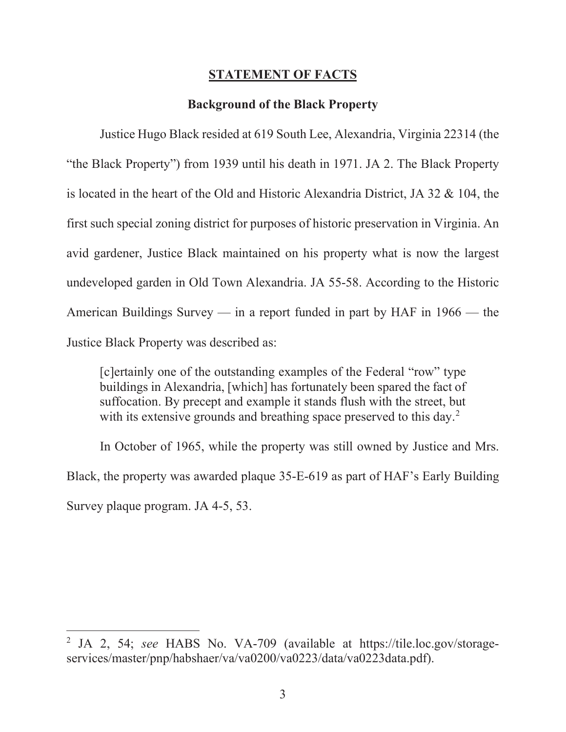## **STATEMENT OF FACTS**

#### **Background of the Black Property**

Justice Hugo Black resided at 619 South Lee, Alexandria, Virginia 22314 (the "the Black Property") from 1939 until his death in 1971. JA 2. The Black Property is located in the heart of the Old and Historic Alexandria District, JA 32 & 104, the first such special zoning district for purposes of historic preservation in Virginia. An avid gardener, Justice Black maintained on his property what is now the largest undeveloped garden in Old Town Alexandria. JA 55-58. According to the Historic American Buildings Survey — in a report funded in part by HAF in 1966 — the Justice Black Property was described as:

[c]ertainly one of the outstanding examples of the Federal "row" type buildings in Alexandria, [which] has fortunately been spared the fact of suffocation. By precept and example it stands flush with the street, but with its extensive grounds and breathing space preserved to this day.<sup>2</sup>

In October of 1965, while the property was still owned by Justice and Mrs. Black, the property was awarded plaque 35-E-619 as part of HAF's Early Building Survey plaque program. JA 4-5, 53.

<sup>2</sup> JA 2, 54; *see* HABS No. VA-709 (available at https://tile.loc.gov/storageservices/master/pnp/habshaer/va/va0200/va0223/data/va0223data.pdf).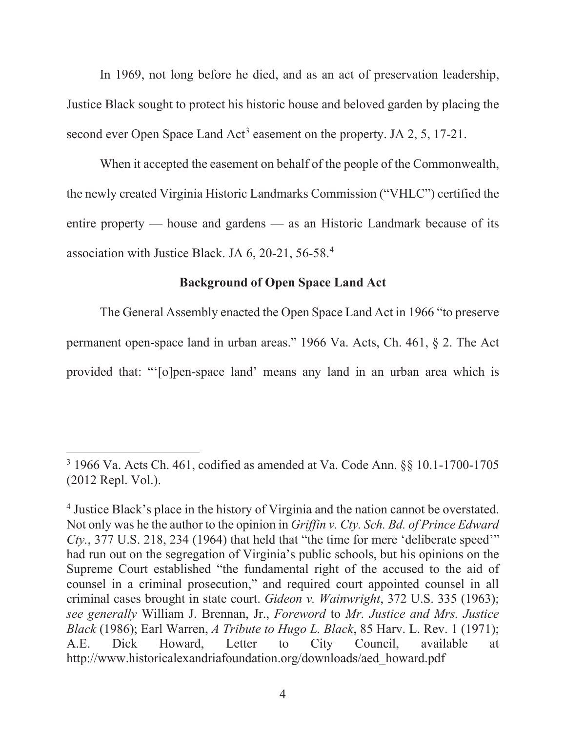In 1969, not long before he died, and as an act of preservation leadership, Justice Black sought to protect his historic house and beloved garden by placing the second ever Open Space Land  $Act^3$  easement on the property. JA 2, 5, 17-21.

When it accepted the easement on behalf of the people of the Commonwealth, the newly created Virginia Historic Landmarks Commission ("VHLC") certified the entire property — house and gardens — as an Historic Landmark because of its association with Justice Black. JA 6, 20-21, 56-58.4

## **Background of Open Space Land Act**

The General Assembly enacted the Open Space Land Act in 1966 "to preserve permanent open-space land in urban areas." 1966 Va. Acts, Ch. 461, § 2. The Act provided that: "'[o]pen-space land' means any land in an urban area which is

 $3\,1966$  Va. Acts Ch. 461, codified as amended at Va. Code Ann.  $\S\S$  10.1-1700-1705 (2012 Repl. Vol.).

<sup>&</sup>lt;sup>4</sup> Justice Black's place in the history of Virginia and the nation cannot be overstated. Not only was he the author to the opinion in *Griffin v. Cty. Sch. Bd. of Prince Edward Cty.*, 377 U.S. 218, 234 (1964) that held that "the time for mere 'deliberate speed'" had run out on the segregation of Virginia's public schools, but his opinions on the Supreme Court established "the fundamental right of the accused to the aid of counsel in a criminal prosecution," and required court appointed counsel in all criminal cases brought in state court. *Gideon v. Wainwright*, 372 U.S. 335 (1963); *see generally* William J. Brennan, Jr., *Foreword* to *Mr. Justice and Mrs. Justice Black* (1986); Earl Warren, *A Tribute to Hugo L. Black*, 85 Harv. L. Rev. 1 (1971); A.E. Dick Howard, Letter to City Council, available at http://www.historicalexandriafoundation.org/downloads/aed\_howard.pdf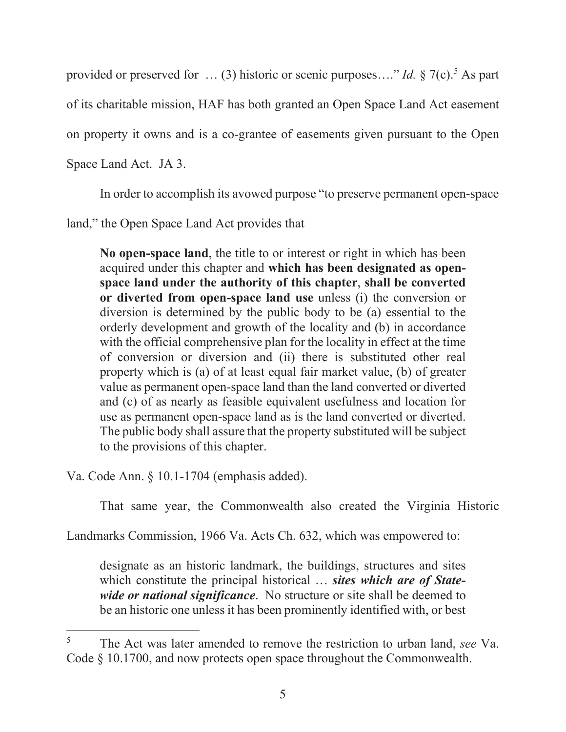provided or preserved for  $\ldots$  (3) historic or scenic purposes...." *Id.* § 7(c).<sup>5</sup> As part

of its charitable mission, HAF has both granted an Open Space Land Act easement

on property it owns and is a co-grantee of easements given pursuant to the Open

Space Land Act. JA 3.

In order to accomplish its avowed purpose "to preserve permanent open-space

land," the Open Space Land Act provides that

**No open-space land**, the title to or interest or right in which has been acquired under this chapter and **which has been designated as openspace land under the authority of this chapter**, **shall be converted or diverted from open-space land use** unless (i) the conversion or diversion is determined by the public body to be (a) essential to the orderly development and growth of the locality and (b) in accordance with the official comprehensive plan for the locality in effect at the time of conversion or diversion and (ii) there is substituted other real property which is (a) of at least equal fair market value, (b) of greater value as permanent open-space land than the land converted or diverted and (c) of as nearly as feasible equivalent usefulness and location for use as permanent open-space land as is the land converted or diverted. The public body shall assure that the property substituted will be subject to the provisions of this chapter.

Va. Code Ann. § 10.1-1704 (emphasis added).

That same year, the Commonwealth also created the Virginia Historic

Landmarks Commission, 1966 Va. Acts Ch. 632, which was empowered to:

designate as an historic landmark, the buildings, structures and sites which constitute the principal historical … *sites which are of Statewide or national significance*. No structure or site shall be deemed to be an historic one unless it has been prominently identified with, or best

<sup>5</sup> The Act was later amended to remove the restriction to urban land, *see* Va. Code § 10.1700, and now protects open space throughout the Commonwealth.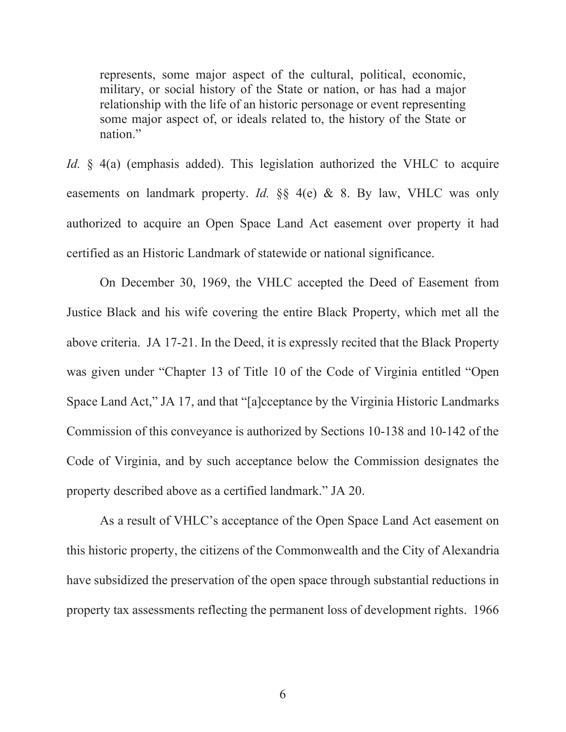represents, some major aspect of the cultural, political, economic, military, or social history of the State or nation, or has had a major relationship with the life of an historic personage or event representing some major aspect of, or ideals related to, the history of the State or nation."

*Id.* § 4(a) (emphasis added). This legislation authorized the VHLC to acquire easements on landmark property. *Id.* §§ 4(e) & 8. By law, VHLC was only authorized to acquire an Open Space Land Act easement over property it had certified as an Historic Landmark of statewide or national significance.

On December 30, 1969, the VHLC accepted the Deed of Easement from Justice Black and his wife covering the entire Black Property, which met all the above criteria. JA 17-21. In the Deed, it is expressly recited that the Black Property was given under "Chapter 13 of Title 10 of the Code of Virginia entitled "Open Space Land Act," JA 17, and that "[a]cceptance by the Virginia Historic Landmarks Commission of this conveyance is authorized by Sections 10-138 and 10-142 of the Code of Virginia, and by such acceptance below the Commission designates the property described above as a certified landmark." JA 20.

As a result of VHLC's acceptance of the Open Space Land Act easement on this historic property, the citizens of the Commonwealth and the City of Alexandria have subsidized the preservation of the open space through substantial reductions in property tax assessments reflecting the permanent loss of development rights. 1966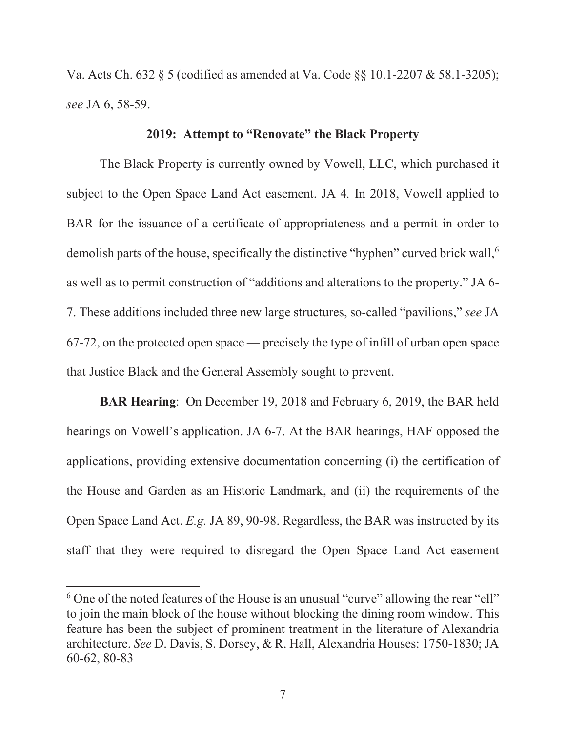Va. Acts Ch. 632 § 5 (codified as amended at Va. Code §§ 10.1-2207 & 58.1-3205); *see* JA 6, 58-59.

# **2019: Attempt to "Renovate" the Black Property**

The Black Property is currently owned by Vowell, LLC, which purchased it subject to the Open Space Land Act easement. JA 4*.* In 2018, Vowell applied to BAR for the issuance of a certificate of appropriateness and a permit in order to demolish parts of the house, specifically the distinctive "hyphen" curved brick wall,<sup>6</sup> as well as to permit construction of "additions and alterations to the property." JA 6- 7. These additions included three new large structures, so-called "pavilions," *see* JA 67-72, on the protected open space — precisely the type of infill of urban open space that Justice Black and the General Assembly sought to prevent.

**BAR Hearing**: On December 19, 2018 and February 6, 2019, the BAR held hearings on Vowell's application. JA 6-7. At the BAR hearings, HAF opposed the applications, providing extensive documentation concerning (i) the certification of the House and Garden as an Historic Landmark, and (ii) the requirements of the Open Space Land Act. *E.g.* JA 89, 90-98. Regardless, the BAR was instructed by its staff that they were required to disregard the Open Space Land Act easement

 $6$  One of the noted features of the House is an unusual "curve" allowing the rear "ell" to join the main block of the house without blocking the dining room window. This feature has been the subject of prominent treatment in the literature of Alexandria architecture. *See* D. Davis, S. Dorsey, & R. Hall, Alexandria Houses: 1750-1830; JA 60-62, 80-83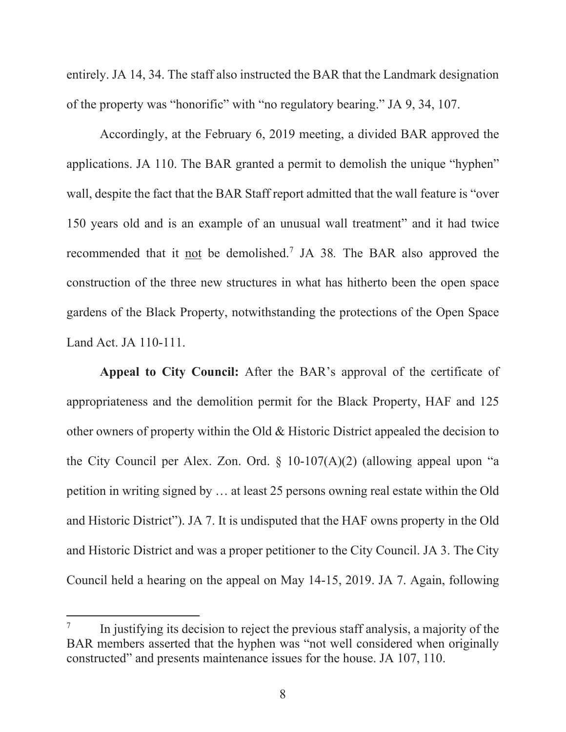entirely. JA 14, 34. The staff also instructed the BAR that the Landmark designation of the property was "honorific" with "no regulatory bearing." JA 9, 34, 107.

Accordingly, at the February 6, 2019 meeting, a divided BAR approved the applications. JA 110. The BAR granted a permit to demolish the unique "hyphen" wall, despite the fact that the BAR Staff report admitted that the wall feature is "over 150 years old and is an example of an unusual wall treatment" and it had twice recommended that it not be demolished.<sup>7</sup> JA 38. The BAR also approved the construction of the three new structures in what has hitherto been the open space gardens of the Black Property, notwithstanding the protections of the Open Space Land Act. JA 110-111.

**Appeal to City Council:** After the BAR's approval of the certificate of appropriateness and the demolition permit for the Black Property, HAF and 125 other owners of property within the Old & Historic District appealed the decision to the City Council per Alex. Zon. Ord.  $\S$  10-107(A)(2) (allowing appeal upon "a petition in writing signed by … at least 25 persons owning real estate within the Old and Historic District"). JA 7. It is undisputed that the HAF owns property in the Old and Historic District and was a proper petitioner to the City Council. JA 3. The City Council held a hearing on the appeal on May 14-15, 2019. JA 7. Again, following

<sup>7</sup> In justifying its decision to reject the previous staff analysis, a majority of the BAR members asserted that the hyphen was "not well considered when originally constructed" and presents maintenance issues for the house. JA 107, 110.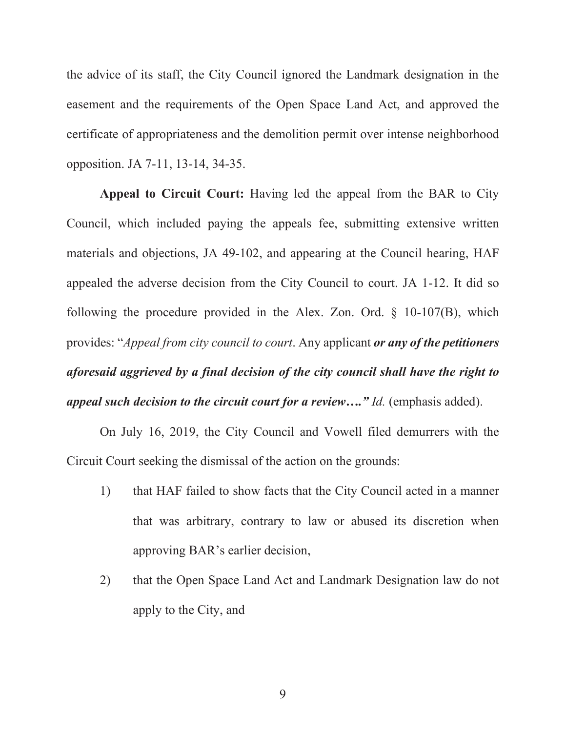the advice of its staff, the City Council ignored the Landmark designation in the easement and the requirements of the Open Space Land Act, and approved the certificate of appropriateness and the demolition permit over intense neighborhood opposition. JA 7-11, 13-14, 34-35.

**Appeal to Circuit Court:** Having led the appeal from the BAR to City Council, which included paying the appeals fee, submitting extensive written materials and objections, JA 49-102, and appearing at the Council hearing, HAF appealed the adverse decision from the City Council to court. JA 1-12. It did so following the procedure provided in the Alex. Zon. Ord. § 10-107(B), which provides: "*Appeal from city council to court*. Any applicant *or any of the petitioners aforesaid aggrieved by a final decision of the city council shall have the right to appeal such decision to the circuit court for a review…." Id.* (emphasis added).

On July 16, 2019, the City Council and Vowell filed demurrers with the Circuit Court seeking the dismissal of the action on the grounds:

- 1) that HAF failed to show facts that the City Council acted in a manner that was arbitrary, contrary to law or abused its discretion when approving BAR's earlier decision,
- 2) that the Open Space Land Act and Landmark Designation law do not apply to the City, and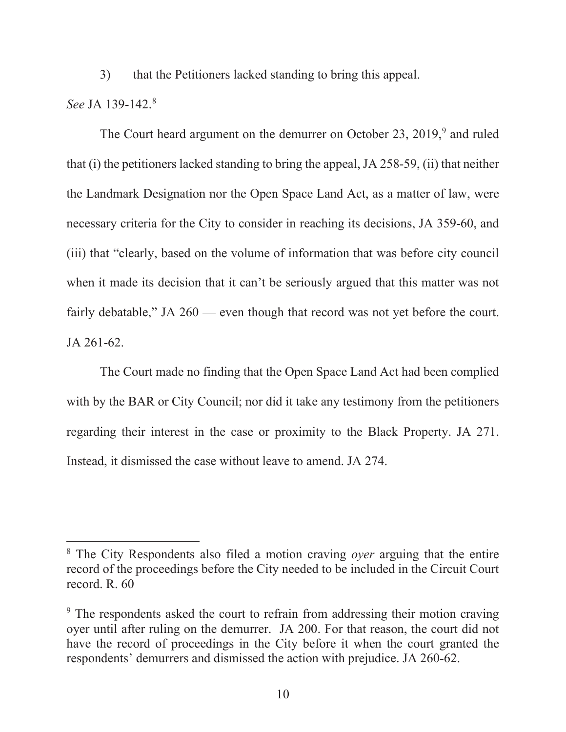3) that the Petitioners lacked standing to bring this appeal.

## *See* JA 139-142.8

The Court heard argument on the demurrer on October 23,  $2019$ , and ruled that (i) the petitioners lacked standing to bring the appeal, JA 258-59, (ii) that neither the Landmark Designation nor the Open Space Land Act, as a matter of law, were necessary criteria for the City to consider in reaching its decisions, JA 359-60, and (iii) that "clearly, based on the volume of information that was before city council when it made its decision that it can't be seriously argued that this matter was not fairly debatable," JA 260 — even though that record was not yet before the court. JA 261-62.

The Court made no finding that the Open Space Land Act had been complied with by the BAR or City Council; nor did it take any testimony from the petitioners regarding their interest in the case or proximity to the Black Property. JA 271. Instead, it dismissed the case without leave to amend. JA 274.

<sup>8</sup> The City Respondents also filed a motion craving *oyer* arguing that the entire record of the proceedings before the City needed to be included in the Circuit Court record. R. 60

<sup>&</sup>lt;sup>9</sup> The respondents asked the court to refrain from addressing their motion craving oyer until after ruling on the demurrer. JA 200. For that reason, the court did not have the record of proceedings in the City before it when the court granted the respondents' demurrers and dismissed the action with prejudice. JA 260-62.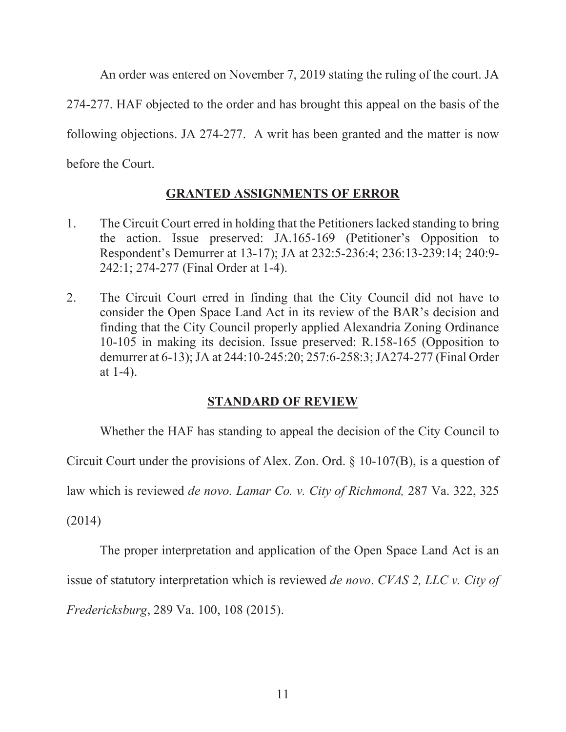An order was entered on November 7, 2019 stating the ruling of the court. JA

274-277. HAF objected to the order and has brought this appeal on the basis of the

following objections. JA 274-277. A writ has been granted and the matter is now

before the Court.

# **GRANTED ASSIGNMENTS OF ERROR**

- 1. The Circuit Court erred in holding that the Petitioners lacked standing to bring the action. Issue preserved: JA.165-169 (Petitioner's Opposition to Respondent's Demurrer at 13-17); JA at 232:5-236:4; 236:13-239:14; 240:9- 242:1; 274-277 (Final Order at 1-4).
- 2. The Circuit Court erred in finding that the City Council did not have to consider the Open Space Land Act in its review of the BAR's decision and finding that the City Council properly applied Alexandria Zoning Ordinance 10-105 in making its decision. Issue preserved: R.158-165 (Opposition to demurrer at 6-13); JA at 244:10-245:20; 257:6-258:3; JA274-277 (Final Order at 1-4).

# **STANDARD OF REVIEW**

Whether the HAF has standing to appeal the decision of the City Council to

Circuit Court under the provisions of Alex. Zon. Ord. § 10-107(B), is a question of

law which is reviewed *de novo. Lamar Co. v. City of Richmond,* 287 Va. 322, 325

(2014)

The proper interpretation and application of the Open Space Land Act is an

issue of statutory interpretation which is reviewed *de novo*. *CVAS 2, LLC v. City of* 

*Fredericksburg*, 289 Va. 100, 108 (2015).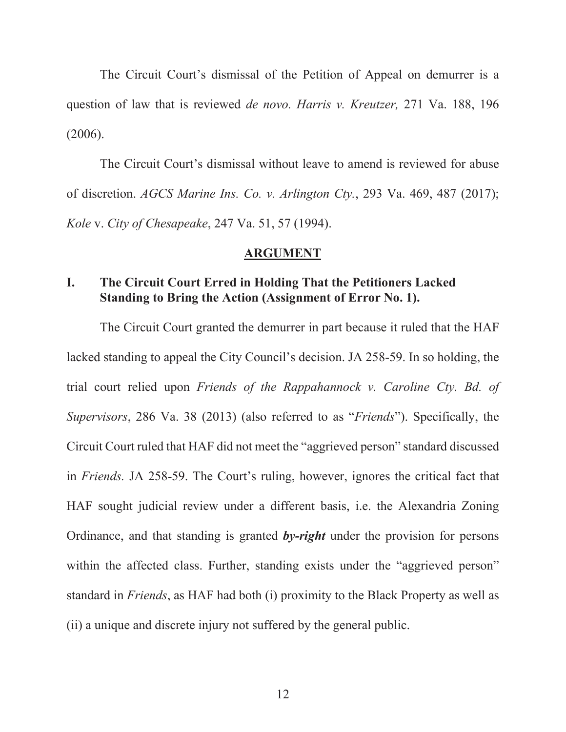The Circuit Court's dismissal of the Petition of Appeal on demurrer is a question of law that is reviewed *de novo. Harris v. Kreutzer,* 271 Va. 188, 196 (2006).

The Circuit Court's dismissal without leave to amend is reviewed for abuse of discretion. *AGCS Marine Ins. Co. v. Arlington Cty.*, 293 Va. 469, 487 (2017); *Kole* v. *City of Chesapeake*, 247 Va. 51, 57 (1994).

#### **ARGUMENT**

# **I. The Circuit Court Erred in Holding That the Petitioners Lacked Standing to Bring the Action (Assignment of Error No. 1).**

The Circuit Court granted the demurrer in part because it ruled that the HAF lacked standing to appeal the City Council's decision. JA 258-59. In so holding, the trial court relied upon *Friends of the Rappahannock v. Caroline Cty. Bd. of Supervisors*, 286 Va. 38 (2013) (also referred to as "*Friends*"). Specifically, the Circuit Court ruled that HAF did not meet the "aggrieved person" standard discussed in *Friends.* JA 258-59. The Court's ruling, however, ignores the critical fact that HAF sought judicial review under a different basis, i.e. the Alexandria Zoning Ordinance, and that standing is granted *by-right* under the provision for persons within the affected class. Further, standing exists under the "aggrieved person" standard in *Friends*, as HAF had both (i) proximity to the Black Property as well as (ii) a unique and discrete injury not suffered by the general public.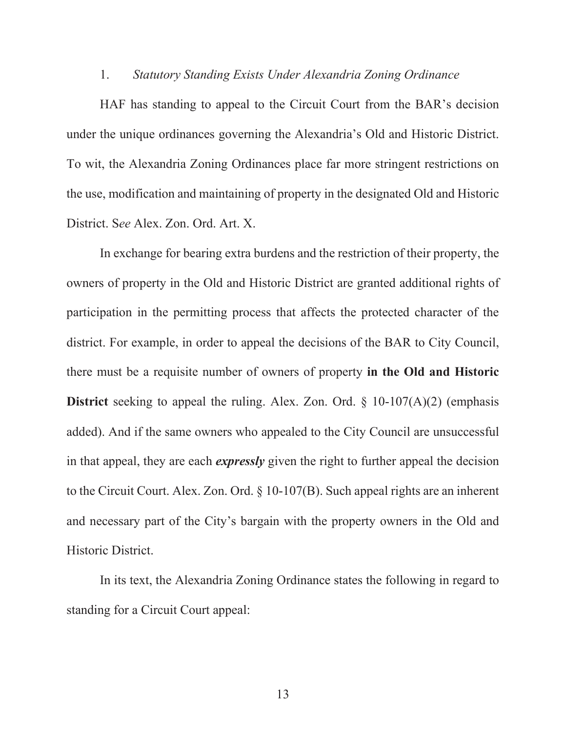#### 1. *Statutory Standing Exists Under Alexandria Zoning Ordinance*

HAF has standing to appeal to the Circuit Court from the BAR's decision under the unique ordinances governing the Alexandria's Old and Historic District. To wit, the Alexandria Zoning Ordinances place far more stringent restrictions on the use, modification and maintaining of property in the designated Old and Historic District. S*ee* Alex. Zon. Ord. Art. X.

In exchange for bearing extra burdens and the restriction of their property, the owners of property in the Old and Historic District are granted additional rights of participation in the permitting process that affects the protected character of the district. For example, in order to appeal the decisions of the BAR to City Council, there must be a requisite number of owners of property **in the Old and Historic District** seeking to appeal the ruling. Alex. Zon. Ord. § 10-107(A)(2) (emphasis added). And if the same owners who appealed to the City Council are unsuccessful in that appeal, they are each *expressly* given the right to further appeal the decision to the Circuit Court. Alex. Zon. Ord. § 10-107(B). Such appeal rights are an inherent and necessary part of the City's bargain with the property owners in the Old and Historic District.

In its text, the Alexandria Zoning Ordinance states the following in regard to standing for a Circuit Court appeal: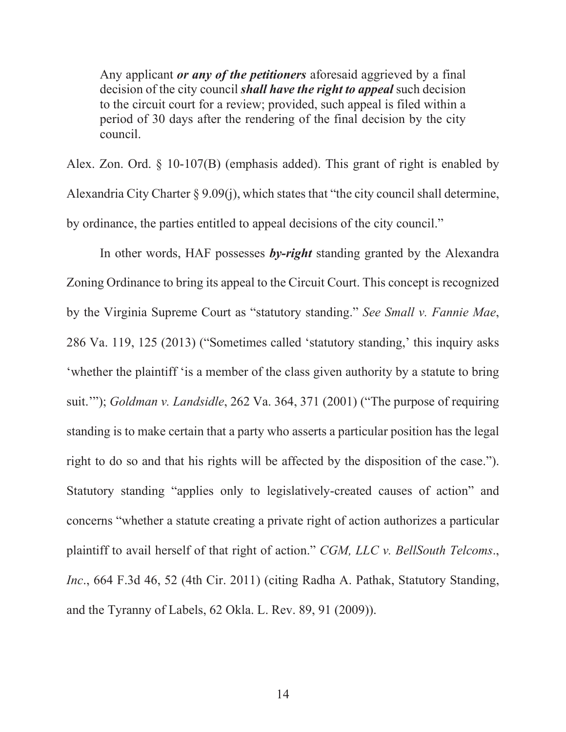Any applicant *or any of the petitioners* aforesaid aggrieved by a final decision of the city council *shall have the right to appeal* such decision to the circuit court for a review; provided, such appeal is filed within a period of 30 days after the rendering of the final decision by the city council.

Alex. Zon. Ord. § 10-107(B) (emphasis added). This grant of right is enabled by Alexandria City Charter § 9.09(j), which states that "the city council shall determine, by ordinance, the parties entitled to appeal decisions of the city council."

In other words, HAF possesses *by-right* standing granted by the Alexandra Zoning Ordinance to bring its appeal to the Circuit Court. This concept is recognized by the Virginia Supreme Court as "statutory standing." *See Small v. Fannie Mae*, 286 Va. 119, 125 (2013) ("Sometimes called 'statutory standing,' this inquiry asks 'whether the plaintiff 'is a member of the class given authority by a statute to bring suit.'"); *Goldman v. Landsidle*, 262 Va. 364, 371 (2001) ("The purpose of requiring standing is to make certain that a party who asserts a particular position has the legal right to do so and that his rights will be affected by the disposition of the case."). Statutory standing "applies only to legislatively-created causes of action" and concerns "whether a statute creating a private right of action authorizes a particular plaintiff to avail herself of that right of action." *CGM, LLC v. BellSouth Telcoms*., *Inc*., 664 F.3d 46, 52 (4th Cir. 2011) (citing Radha A. Pathak, Statutory Standing, and the Tyranny of Labels, 62 Okla. L. Rev. 89, 91 (2009)).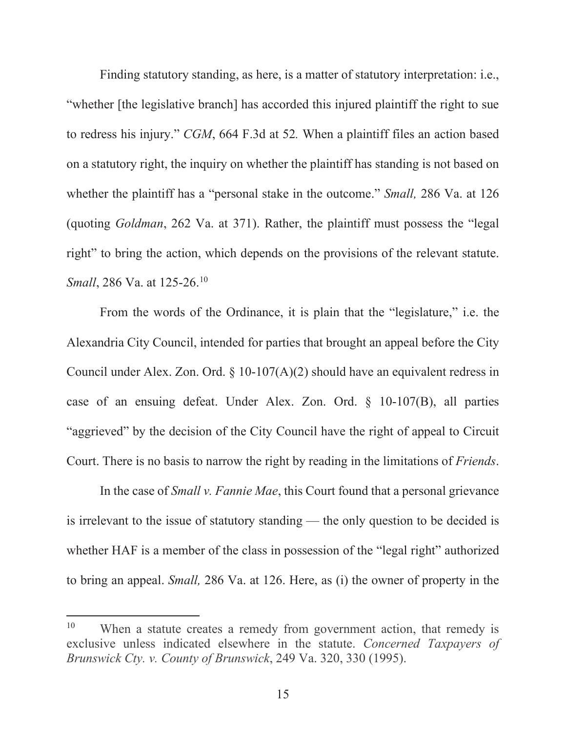Finding statutory standing, as here, is a matter of statutory interpretation: i.e., "whether [the legislative branch] has accorded this injured plaintiff the right to sue to redress his injury." *CGM*, 664 F.3d at 52*.* When a plaintiff files an action based on a statutory right, the inquiry on whether the plaintiff has standing is not based on whether the plaintiff has a "personal stake in the outcome." *Small,* 286 Va. at 126 (quoting *Goldman*, 262 Va. at 371). Rather, the plaintiff must possess the "legal right" to bring the action, which depends on the provisions of the relevant statute. *Small*, 286 Va. at 125-26.<sup>10</sup>

 From the words of the Ordinance, it is plain that the "legislature," i.e. the Alexandria City Council, intended for parties that brought an appeal before the City Council under Alex. Zon. Ord.  $\S$  10-107(A)(2) should have an equivalent redress in case of an ensuing defeat. Under Alex. Zon. Ord. § 10-107(B), all parties "aggrieved" by the decision of the City Council have the right of appeal to Circuit Court. There is no basis to narrow the right by reading in the limitations of *Friends*.

 In the case of *Small v. Fannie Mae*, this Court found that a personal grievance is irrelevant to the issue of statutory standing — the only question to be decided is whether HAF is a member of the class in possession of the "legal right" authorized to bring an appeal. *Small,* 286 Va. at 126. Here, as (i) the owner of property in the

<sup>&</sup>lt;sup>10</sup> When a statute creates a remedy from government action, that remedy is exclusive unless indicated elsewhere in the statute. *Concerned Taxpayers of Brunswick Cty. v. County of Brunswick*, 249 Va. 320, 330 (1995).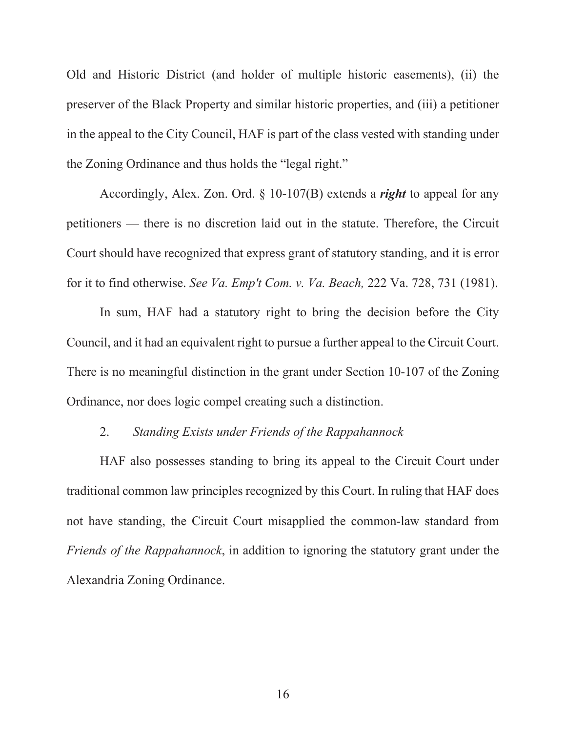Old and Historic District (and holder of multiple historic easements), (ii) the preserver of the Black Property and similar historic properties, and (iii) a petitioner in the appeal to the City Council, HAF is part of the class vested with standing under the Zoning Ordinance and thus holds the "legal right."

Accordingly, Alex. Zon. Ord. § 10-107(B) extends a *right* to appeal for any petitioners — there is no discretion laid out in the statute. Therefore, the Circuit Court should have recognized that express grant of statutory standing, and it is error for it to find otherwise. *See Va. Emp't Com. v. Va. Beach,* 222 Va. 728, 731 (1981).

In sum, HAF had a statutory right to bring the decision before the City Council, and it had an equivalent right to pursue a further appeal to the Circuit Court. There is no meaningful distinction in the grant under Section 10-107 of the Zoning Ordinance, nor does logic compel creating such a distinction.

## 2. *Standing Exists under Friends of the Rappahannock*

 HAF also possesses standing to bring its appeal to the Circuit Court under traditional common law principles recognized by this Court. In ruling that HAF does not have standing, the Circuit Court misapplied the common-law standard from *Friends of the Rappahannock*, in addition to ignoring the statutory grant under the Alexandria Zoning Ordinance.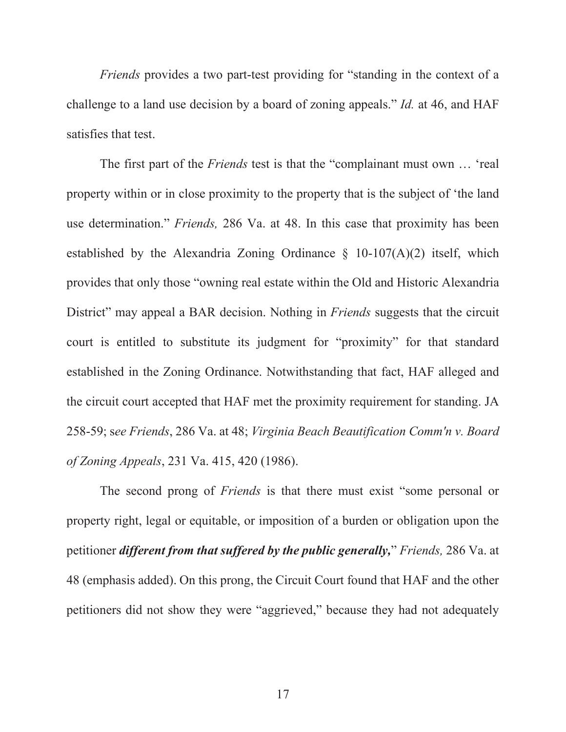*Friends* provides a two part-test providing for "standing in the context of a challenge to a land use decision by a board of zoning appeals." *Id.* at 46, and HAF satisfies that test.

The first part of the *Friends* test is that the "complainant must own … 'real property within or in close proximity to the property that is the subject of 'the land use determination." *Friends,* 286 Va. at 48. In this case that proximity has been established by the Alexandria Zoning Ordinance  $\S$  10-107(A)(2) itself, which provides that only those "owning real estate within the Old and Historic Alexandria District" may appeal a BAR decision. Nothing in *Friends* suggests that the circuit court is entitled to substitute its judgment for "proximity" for that standard established in the Zoning Ordinance. Notwithstanding that fact, HAF alleged and the circuit court accepted that HAF met the proximity requirement for standing. JA 258-59; s*ee Friends*, 286 Va. at 48; *Virginia Beach Beautification Comm'n v. Board of Zoning Appeals*, 231 Va. 415, 420 (1986).

 The second prong of *Friends* is that there must exist "some personal or property right, legal or equitable, or imposition of a burden or obligation upon the petitioner *different from that suffered by the public generally,*" *Friends,* 286 Va. at 48 (emphasis added). On this prong, the Circuit Court found that HAF and the other petitioners did not show they were "aggrieved," because they had not adequately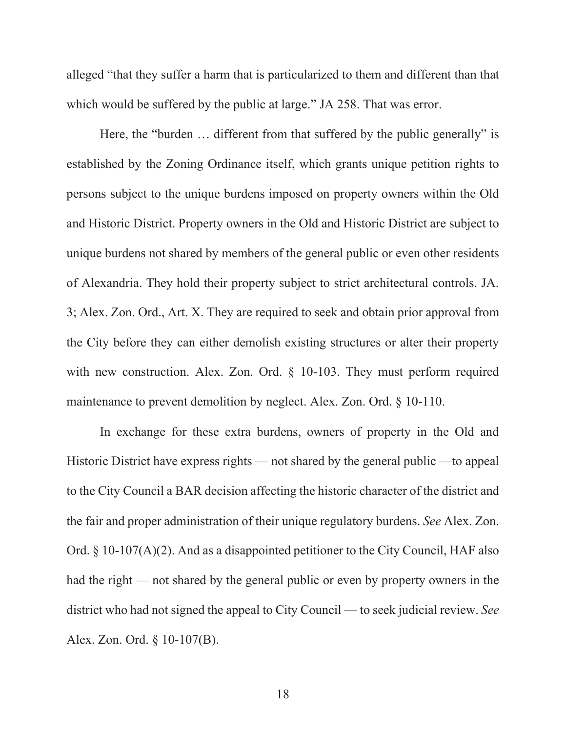alleged "that they suffer a harm that is particularized to them and different than that which would be suffered by the public at large." JA 258. That was error.

Here, the "burden … different from that suffered by the public generally" is established by the Zoning Ordinance itself, which grants unique petition rights to persons subject to the unique burdens imposed on property owners within the Old and Historic District. Property owners in the Old and Historic District are subject to unique burdens not shared by members of the general public or even other residents of Alexandria. They hold their property subject to strict architectural controls. JA. 3; Alex. Zon. Ord., Art. X. They are required to seek and obtain prior approval from the City before they can either demolish existing structures or alter their property with new construction. Alex. Zon. Ord. § 10-103. They must perform required maintenance to prevent demolition by neglect. Alex. Zon. Ord. § 10-110.

In exchange for these extra burdens, owners of property in the Old and Historic District have express rights — not shared by the general public —to appeal to the City Council a BAR decision affecting the historic character of the district and the fair and proper administration of their unique regulatory burdens. *See* Alex. Zon. Ord. § 10-107(A)(2). And as a disappointed petitioner to the City Council, HAF also had the right — not shared by the general public or even by property owners in the district who had not signed the appeal to City Council — to seek judicial review. *See*  Alex. Zon. Ord. § 10-107(B).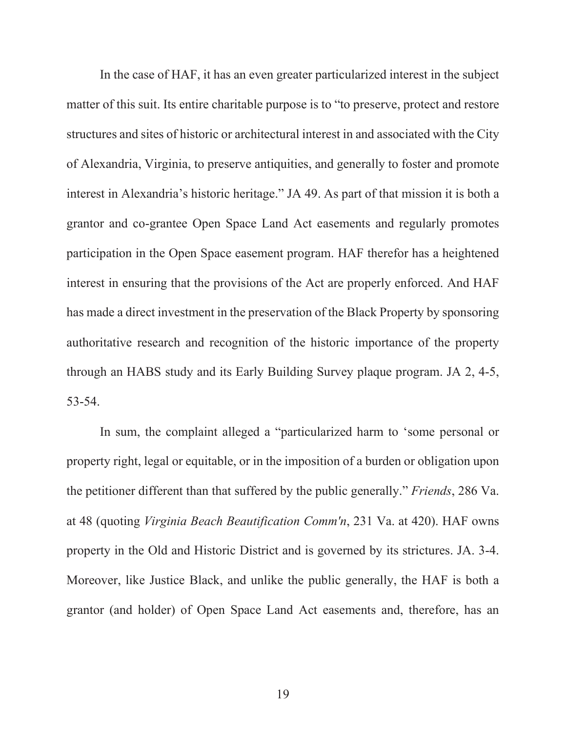In the case of HAF, it has an even greater particularized interest in the subject matter of this suit. Its entire charitable purpose is to "to preserve, protect and restore structures and sites of historic or architectural interest in and associated with the City of Alexandria, Virginia, to preserve antiquities, and generally to foster and promote interest in Alexandria's historic heritage." JA 49. As part of that mission it is both a grantor and co-grantee Open Space Land Act easements and regularly promotes participation in the Open Space easement program. HAF therefor has a heightened interest in ensuring that the provisions of the Act are properly enforced. And HAF has made a direct investment in the preservation of the Black Property by sponsoring authoritative research and recognition of the historic importance of the property through an HABS study and its Early Building Survey plaque program. JA 2, 4-5, 53-54.

In sum, the complaint alleged a "particularized harm to 'some personal or property right, legal or equitable, or in the imposition of a burden or obligation upon the petitioner different than that suffered by the public generally." *Friends*, 286 Va. at 48 (quoting *Virginia Beach Beautification Comm'n*, 231 Va. at 420). HAF owns property in the Old and Historic District and is governed by its strictures. JA. 3-4. Moreover, like Justice Black, and unlike the public generally, the HAF is both a grantor (and holder) of Open Space Land Act easements and, therefore, has an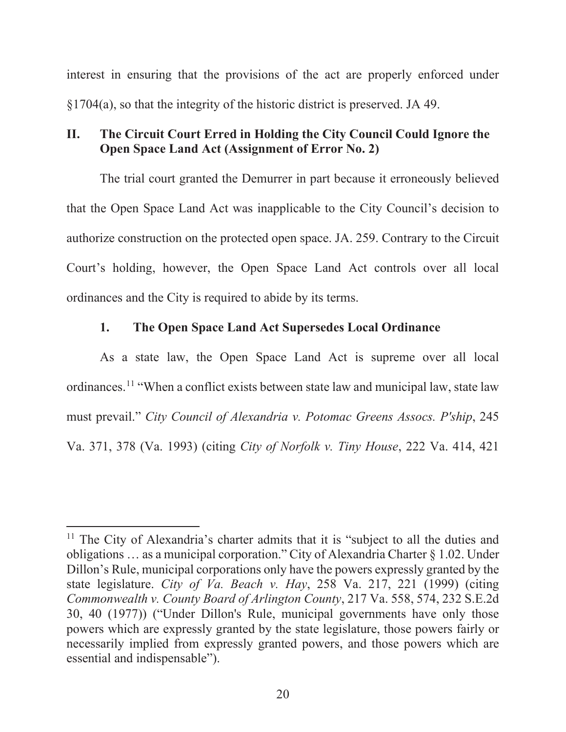interest in ensuring that the provisions of the act are properly enforced under §1704(a), so that the integrity of the historic district is preserved. JA 49.

# **II. The Circuit Court Erred in Holding the City Council Could Ignore the Open Space Land Act (Assignment of Error No. 2)**

The trial court granted the Demurrer in part because it erroneously believed that the Open Space Land Act was inapplicable to the City Council's decision to authorize construction on the protected open space. JA. 259. Contrary to the Circuit Court's holding, however, the Open Space Land Act controls over all local ordinances and the City is required to abide by its terms.

# **1. The Open Space Land Act Supersedes Local Ordinance**

As a state law, the Open Space Land Act is supreme over all local ordinances.11 "When a conflict exists between state law and municipal law, state law must prevail." *City Council of Alexandria v. Potomac Greens Assocs. P'ship*, 245 Va. 371, 378 (Va. 1993) (citing *City of Norfolk v. Tiny House*, 222 Va. 414, 421

 $11$  The City of Alexandria's charter admits that it is "subject to all the duties and obligations … as a municipal corporation." City of Alexandria Charter § 1.02. Under Dillon's Rule, municipal corporations only have the powers expressly granted by the state legislature. *City of Va. Beach v. Hay*, 258 Va. 217, 221 (1999) (citing *Commonwealth v. County Board of Arlington County*, 217 Va. 558, 574, 232 S.E.2d 30, 40 (1977)) ("Under Dillon's Rule, municipal governments have only those powers which are expressly granted by the state legislature, those powers fairly or necessarily implied from expressly granted powers, and those powers which are essential and indispensable").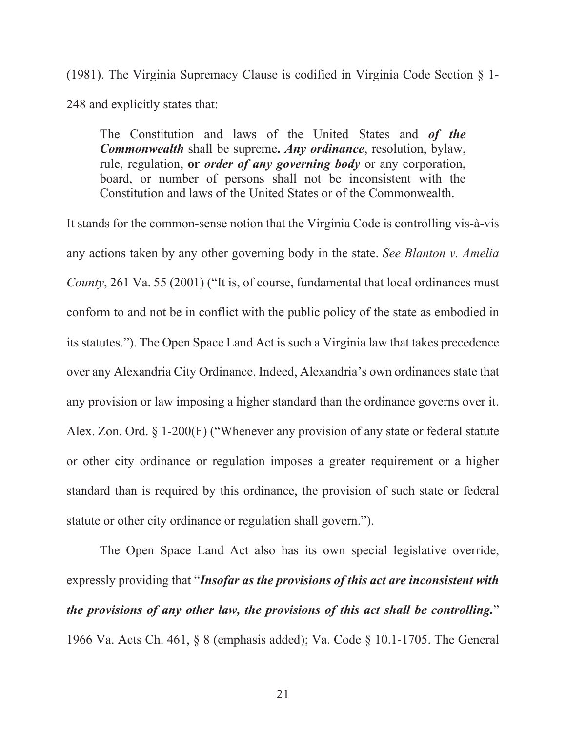(1981). The Virginia Supremacy Clause is codified in Virginia Code Section § 1- 248 and explicitly states that:

The Constitution and laws of the United States and *of the Commonwealth* shall be supreme**.** *Any ordinance*, resolution, bylaw, rule, regulation, **or** *order of any governing body* or any corporation, board, or number of persons shall not be inconsistent with the Constitution and laws of the United States or of the Commonwealth.

It stands for the common-sense notion that the Virginia Code is controlling vis-à-vis any actions taken by any other governing body in the state. *See Blanton v. Amelia County*, 261 Va. 55 (2001) ("It is, of course, fundamental that local ordinances must conform to and not be in conflict with the public policy of the state as embodied in its statutes."). The Open Space Land Act is such a Virginia law that takes precedence over any Alexandria City Ordinance. Indeed, Alexandria's own ordinances state that any provision or law imposing a higher standard than the ordinance governs over it. Alex. Zon. Ord. § 1-200(F) ("Whenever any provision of any state or federal statute or other city ordinance or regulation imposes a greater requirement or a higher standard than is required by this ordinance, the provision of such state or federal statute or other city ordinance or regulation shall govern.").

The Open Space Land Act also has its own special legislative override, expressly providing that "*Insofar as the provisions of this act are inconsistent with the provisions of any other law, the provisions of this act shall be controlling.*" 1966 Va. Acts Ch. 461, § 8 (emphasis added); Va. Code § 10.1-1705. The General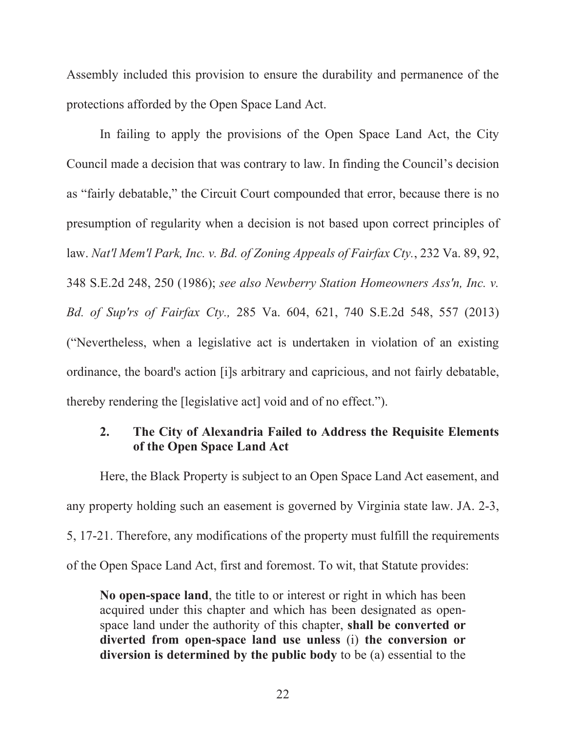Assembly included this provision to ensure the durability and permanence of the protections afforded by the Open Space Land Act.

In failing to apply the provisions of the Open Space Land Act, the City Council made a decision that was contrary to law. In finding the Council's decision as "fairly debatable," the Circuit Court compounded that error, because there is no presumption of regularity when a decision is not based upon correct principles of law. *Nat'l Mem'l Park, Inc. v. Bd. of Zoning Appeals of Fairfax Cty.*, 232 Va. 89, 92, 348 S.E.2d 248, 250 (1986); *see also Newberry Station Homeowners Ass'n, Inc. v. Bd. of Sup'rs of Fairfax Cty.,* 285 Va. 604, 621, 740 S.E.2d 548, 557 (2013) ("Nevertheless, when a legislative act is undertaken in violation of an existing ordinance, the board's action [i]s arbitrary and capricious, and not fairly debatable, thereby rendering the [legislative act] void and of no effect.").

# **2. The City of Alexandria Failed to Address the Requisite Elements of the Open Space Land Act**

Here, the Black Property is subject to an Open Space Land Act easement, and any property holding such an easement is governed by Virginia state law. JA. 2-3, 5, 17-21. Therefore, any modifications of the property must fulfill the requirements of the Open Space Land Act, first and foremost. To wit, that Statute provides:

**No open-space land**, the title to or interest or right in which has been acquired under this chapter and which has been designated as openspace land under the authority of this chapter, **shall be converted or diverted from open-space land use unless** (i) **the conversion or diversion is determined by the public body** to be (a) essential to the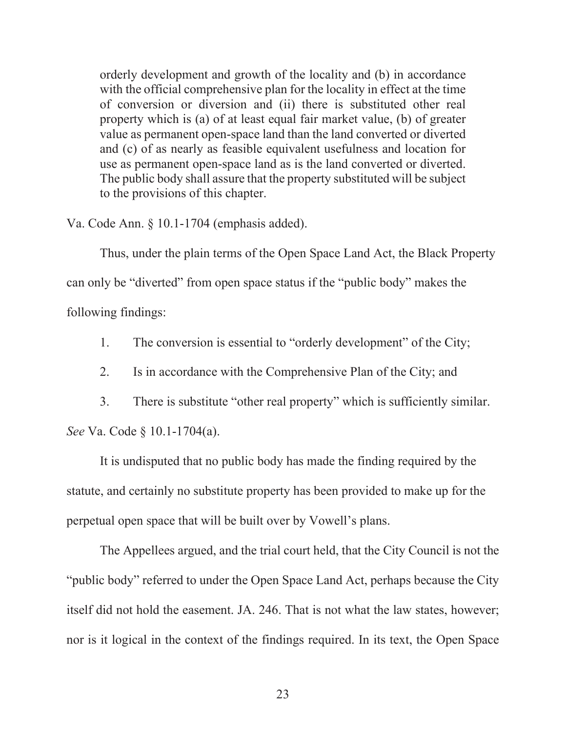orderly development and growth of the locality and (b) in accordance with the official comprehensive plan for the locality in effect at the time of conversion or diversion and (ii) there is substituted other real property which is (a) of at least equal fair market value, (b) of greater value as permanent open-space land than the land converted or diverted and (c) of as nearly as feasible equivalent usefulness and location for use as permanent open-space land as is the land converted or diverted. The public body shall assure that the property substituted will be subject to the provisions of this chapter.

Va. Code Ann. § 10.1-1704 (emphasis added).

Thus, under the plain terms of the Open Space Land Act, the Black Property can only be "diverted" from open space status if the "public body" makes the following findings:

1. The conversion is essential to "orderly development" of the City;

2. Is in accordance with the Comprehensive Plan of the City; and

3. There is substitute "other real property" which is sufficiently similar.

*See* Va. Code § 10.1-1704(a).

 It is undisputed that no public body has made the finding required by the statute, and certainly no substitute property has been provided to make up for the perpetual open space that will be built over by Vowell's plans.

The Appellees argued, and the trial court held, that the City Council is not the "public body" referred to under the Open Space Land Act, perhaps because the City itself did not hold the easement. JA. 246. That is not what the law states, however; nor is it logical in the context of the findings required. In its text, the Open Space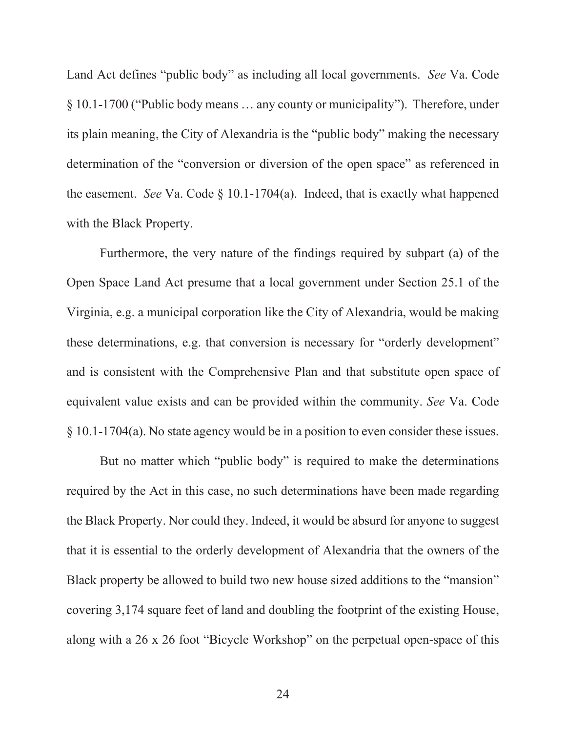Land Act defines "public body" as including all local governments. *See* Va. Code § 10.1-1700 ("Public body means … any county or municipality"). Therefore, under its plain meaning, the City of Alexandria is the "public body" making the necessary determination of the "conversion or diversion of the open space" as referenced in the easement. *See* Va. Code § 10.1-1704(a). Indeed, that is exactly what happened with the Black Property.

Furthermore, the very nature of the findings required by subpart (a) of the Open Space Land Act presume that a local government under Section 25.1 of the Virginia, e.g. a municipal corporation like the City of Alexandria, would be making these determinations, e.g. that conversion is necessary for "orderly development" and is consistent with the Comprehensive Plan and that substitute open space of equivalent value exists and can be provided within the community. *See* Va. Code § 10.1-1704(a). No state agency would be in a position to even consider these issues.

But no matter which "public body" is required to make the determinations required by the Act in this case, no such determinations have been made regarding the Black Property. Nor could they. Indeed, it would be absurd for anyone to suggest that it is essential to the orderly development of Alexandria that the owners of the Black property be allowed to build two new house sized additions to the "mansion" covering 3,174 square feet of land and doubling the footprint of the existing House, along with a 26 x 26 foot "Bicycle Workshop" on the perpetual open-space of this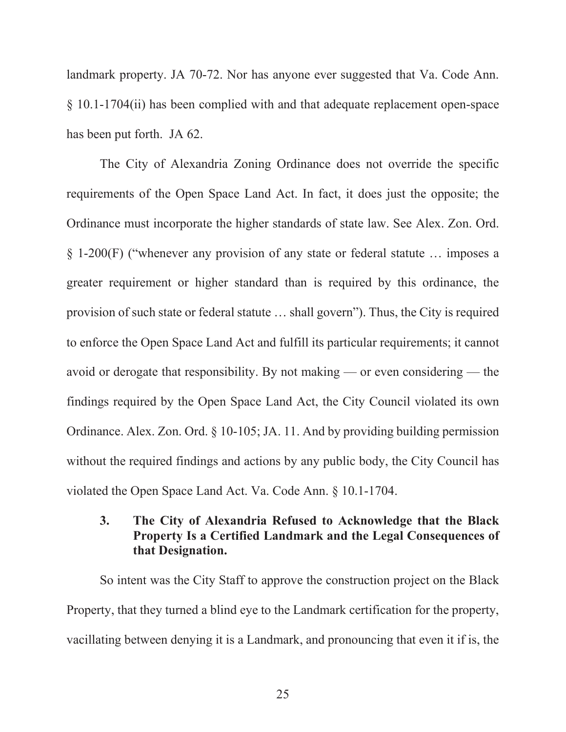landmark property. JA 70-72. Nor has anyone ever suggested that Va. Code Ann. § 10.1-1704(ii) has been complied with and that adequate replacement open-space has been put forth. JA 62.

The City of Alexandria Zoning Ordinance does not override the specific requirements of the Open Space Land Act. In fact, it does just the opposite; the Ordinance must incorporate the higher standards of state law. See Alex. Zon. Ord. § 1-200(F) ("whenever any provision of any state or federal statute … imposes a greater requirement or higher standard than is required by this ordinance, the provision of such state or federal statute … shall govern"). Thus, the City is required to enforce the Open Space Land Act and fulfill its particular requirements; it cannot avoid or derogate that responsibility. By not making — or even considering — the findings required by the Open Space Land Act, the City Council violated its own Ordinance. Alex. Zon. Ord. § 10-105; JA. 11. And by providing building permission without the required findings and actions by any public body, the City Council has violated the Open Space Land Act. Va. Code Ann. § 10.1-1704.

# **3. The City of Alexandria Refused to Acknowledge that the Black Property Is a Certified Landmark and the Legal Consequences of that Designation.**

So intent was the City Staff to approve the construction project on the Black Property, that they turned a blind eye to the Landmark certification for the property, vacillating between denying it is a Landmark, and pronouncing that even it if is, the

25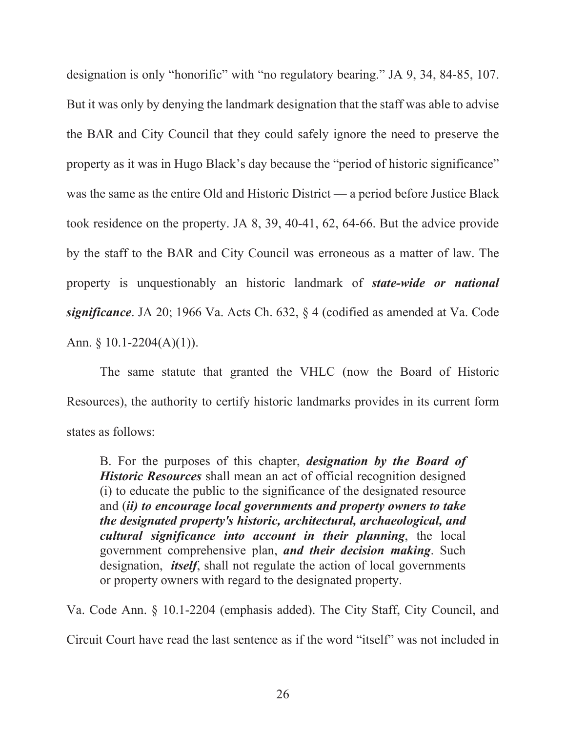designation is only "honorific" with "no regulatory bearing." JA 9, 34, 84-85, 107. But it was only by denying the landmark designation that the staff was able to advise the BAR and City Council that they could safely ignore the need to preserve the property as it was in Hugo Black's day because the "period of historic significance" was the same as the entire Old and Historic District — a period before Justice Black took residence on the property. JA 8, 39, 40-41, 62, 64-66. But the advice provide by the staff to the BAR and City Council was erroneous as a matter of law. The property is unquestionably an historic landmark of *state-wide or national significance*. JA 20; 1966 Va. Acts Ch. 632, § 4 (codified as amended at Va. Code Ann. § 10.1-2204(A)(1)).

The same statute that granted the VHLC (now the Board of Historic Resources), the authority to certify historic landmarks provides in its current form states as follows:

B. For the purposes of this chapter, *designation by the Board of Historic Resources* shall mean an act of official recognition designed (i) to educate the public to the significance of the designated resource and (*ii) to encourage local governments and property owners to take the designated property's historic, architectural, archaeological, and cultural significance into account in their planning*, the local government comprehensive plan, *and their decision making*. Such designation, *itself*, shall not regulate the action of local governments or property owners with regard to the designated property.

Va. Code Ann. § 10.1-2204 (emphasis added). The City Staff, City Council, and

Circuit Court have read the last sentence as if the word "itself" was not included in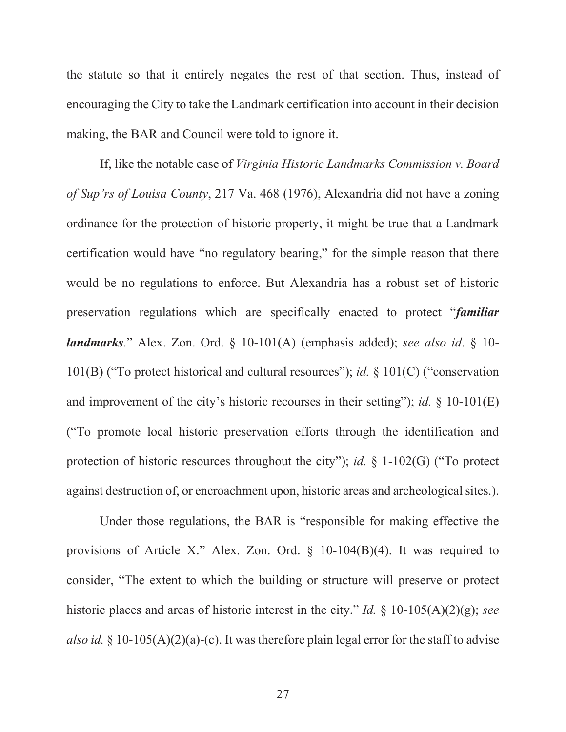the statute so that it entirely negates the rest of that section. Thus, instead of encouraging the City to take the Landmark certification into account in their decision making, the BAR and Council were told to ignore it.

 If, like the notable case of *Virginia Historic Landmarks Commission v. Board of Sup'rs of Louisa County*, 217 Va. 468 (1976), Alexandria did not have a zoning ordinance for the protection of historic property, it might be true that a Landmark certification would have "no regulatory bearing," for the simple reason that there would be no regulations to enforce. But Alexandria has a robust set of historic preservation regulations which are specifically enacted to protect "*familiar landmarks*." Alex. Zon. Ord. § 10-101(A) (emphasis added); *see also id*. § 10- 101(B) ("To protect historical and cultural resources"); *id.* § 101(C) ("conservation and improvement of the city's historic recourses in their setting"); *id.* § 10-101(E) ("To promote local historic preservation efforts through the identification and protection of historic resources throughout the city"); *id.* § 1-102(G) ("To protect against destruction of, or encroachment upon, historic areas and archeological sites.).

Under those regulations, the BAR is "responsible for making effective the provisions of Article X." Alex. Zon. Ord. § 10-104(B)(4). It was required to consider, "The extent to which the building or structure will preserve or protect historic places and areas of historic interest in the city." *Id.* § 10-105(A)(2)(g); *see also id.* § 10-105(A)(2)(a)-(c). It was therefore plain legal error for the staff to advise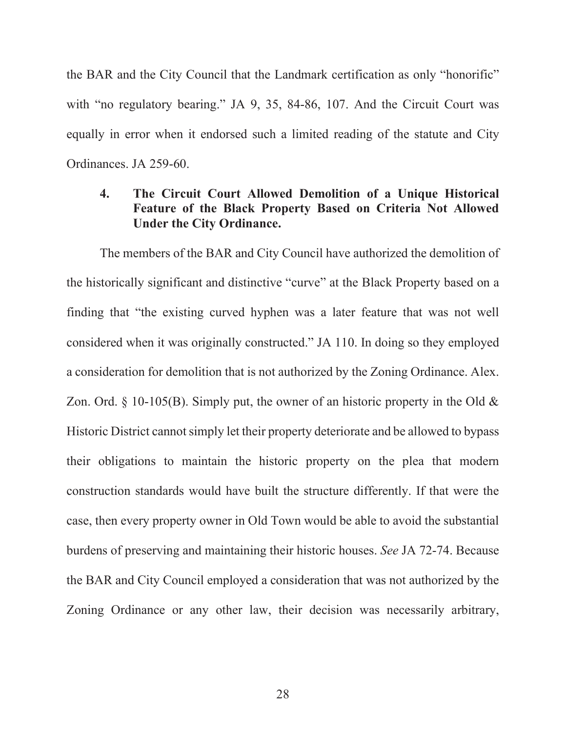the BAR and the City Council that the Landmark certification as only "honorific" with "no regulatory bearing." JA 9, 35, 84-86, 107. And the Circuit Court was equally in error when it endorsed such a limited reading of the statute and City Ordinances. JA 259-60.

# **4. The Circuit Court Allowed Demolition of a Unique Historical Feature of the Black Property Based on Criteria Not Allowed Under the City Ordinance.**

The members of the BAR and City Council have authorized the demolition of the historically significant and distinctive "curve" at the Black Property based on a finding that "the existing curved hyphen was a later feature that was not well considered when it was originally constructed." JA 110. In doing so they employed a consideration for demolition that is not authorized by the Zoning Ordinance. Alex. Zon. Ord.  $\S$  10-105(B). Simply put, the owner of an historic property in the Old  $\&$ Historic District cannot simply let their property deteriorate and be allowed to bypass their obligations to maintain the historic property on the plea that modern construction standards would have built the structure differently. If that were the case, then every property owner in Old Town would be able to avoid the substantial burdens of preserving and maintaining their historic houses. *See* JA 72-74. Because the BAR and City Council employed a consideration that was not authorized by the Zoning Ordinance or any other law, their decision was necessarily arbitrary,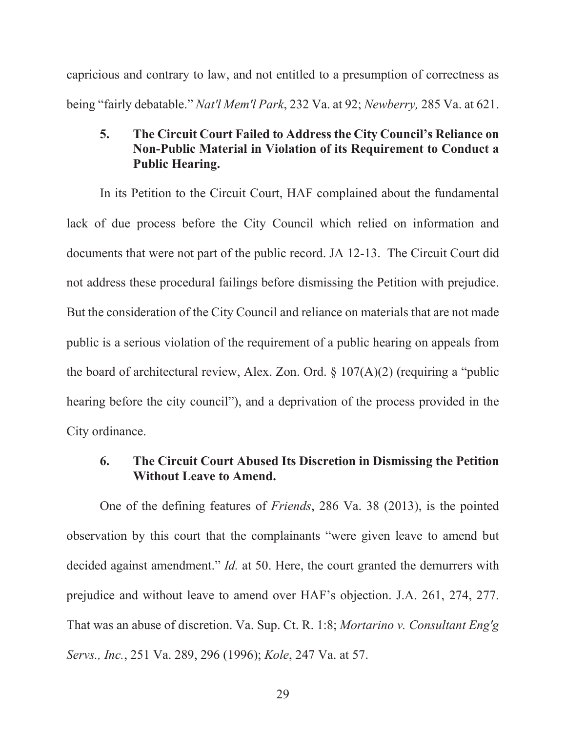capricious and contrary to law, and not entitled to a presumption of correctness as being "fairly debatable." *Nat'l Mem'l Park*, 232 Va. at 92; *Newberry,* 285 Va. at 621.

# **5. The Circuit Court Failed to Address the City Council's Reliance on Non-Public Material in Violation of its Requirement to Conduct a Public Hearing.**

In its Petition to the Circuit Court, HAF complained about the fundamental lack of due process before the City Council which relied on information and documents that were not part of the public record. JA 12-13. The Circuit Court did not address these procedural failings before dismissing the Petition with prejudice. But the consideration of the City Council and reliance on materials that are not made public is a serious violation of the requirement of a public hearing on appeals from the board of architectural review, Alex. Zon. Ord.  $\S$  107(A)(2) (requiring a "public hearing before the city council"), and a deprivation of the process provided in the City ordinance.

## **6. The Circuit Court Abused Its Discretion in Dismissing the Petition Without Leave to Amend.**

One of the defining features of *Friends*, 286 Va. 38 (2013), is the pointed observation by this court that the complainants "were given leave to amend but decided against amendment." *Id.* at 50. Here, the court granted the demurrers with prejudice and without leave to amend over HAF's objection. J.A. 261, 274, 277. That was an abuse of discretion. Va. Sup. Ct. R. 1:8; *Mortarino v. Consultant Eng'g Servs., Inc.*, 251 Va. 289, 296 (1996); *Kole*, 247 Va. at 57.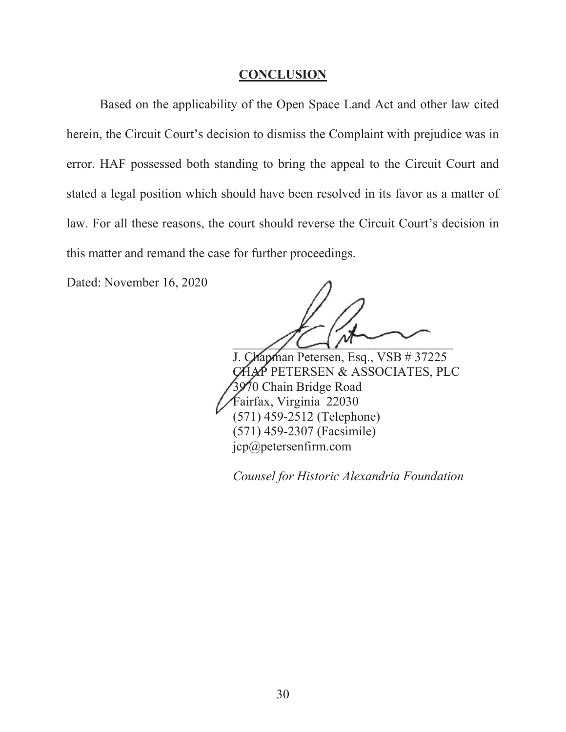#### **CONCLUSION**

 Based on the applicability of the Open Space Land Act and other law cited herein, the Circuit Court's decision to dismiss the Complaint with prejudice was in error. HAF possessed both standing to bring the appeal to the Circuit Court and stated a legal position which should have been resolved in its favor as a matter of law. For all these reasons, the court should reverse the Circuit Court's decision in this matter and remand the case for further proceedings.

Dated: November 16, 2020

 $\sqrt{2}$ 

J. Chapman Petersen, Esq., VSB # 37225 CHAP PETERSEN & ASSOCIATES, PLC 3970 Chain Bridge Road Fairfax, Virginia 22030 (571) 459-2512 (Telephone) (571) 459-2307 (Facsimile) jcp@petersenfirm.com

*Counsel for Historic Alexandria Foundation*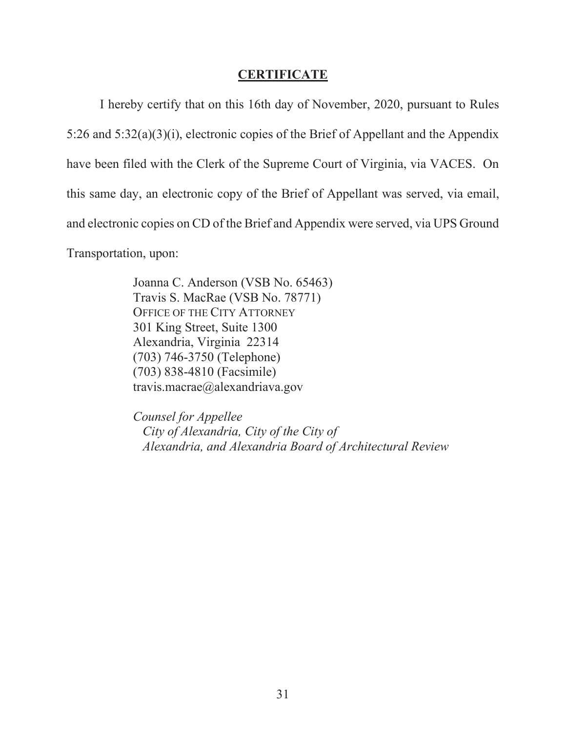#### **CERTIFICATE**

I hereby certify that on this 16th day of November, 2020, pursuant to Rules 5:26 and 5:32(a)(3)(i), electronic copies of the Brief of Appellant and the Appendix have been filed with the Clerk of the Supreme Court of Virginia, via VACES. On this same day, an electronic copy of the Brief of Appellant was served, via email, and electronic copies on CD of the Brief and Appendix were served, via UPS Ground Transportation, upon:

> Joanna C. Anderson (VSB No. 65463) Travis S. MacRae (VSB No. 78771) OFFICE OF THE CITY ATTORNEY 301 King Street, Suite 1300 Alexandria, Virginia 22314 (703) 746-3750 (Telephone) (703) 838-4810 (Facsimile) travis.macrae@alexandriava.gov

*Counsel for Appellee City of Alexandria, City of the City of Alexandria, and Alexandria Board of Architectural Review*